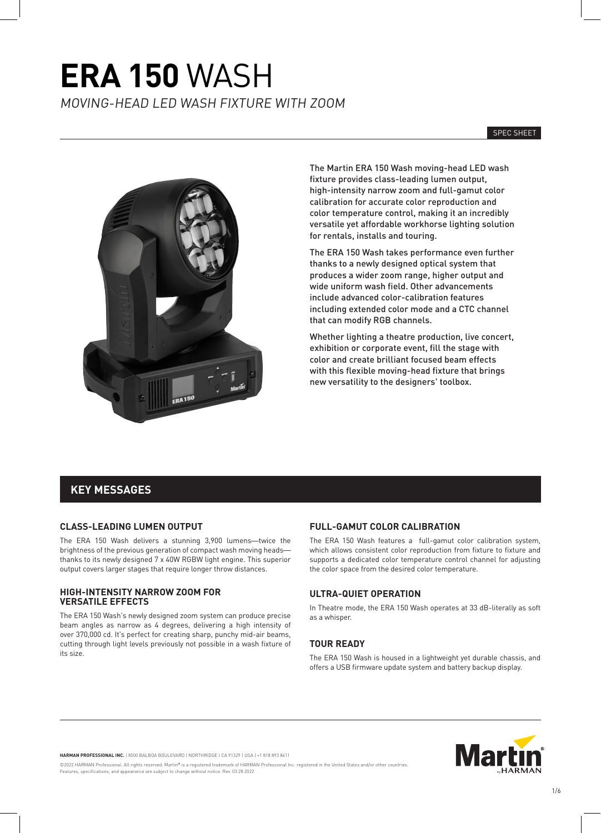SPEC SHEET



The Martin ERA 150 Wash moving-head LED wash fixture provides class-leading lumen output, high-intensity narrow zoom and full-gamut color calibration for accurate color reproduction and color temperature control, making it an incredibly versatile yet affordable workhorse lighting solution for rentals, installs and touring.

The ERA 150 Wash takes performance even further thanks to a newly designed optical system that produces a wider zoom range, higher output and wide uniform wash field. Other advancements include advanced color-calibration features including extended color mode and a CTC channel that can modify RGB channels.

Whether lighting a theatre production, live concert, exhibition or corporate event, fill the stage with color and create brilliant focused beam effects with this flexible moving-head fixture that brings new versatility to the designers' toolbox.

### **KEY MESSAGES**

#### **CLASS-LEADING LUMEN OUTPUT**

The ERA 150 Wash delivers a stunning 3,900 lumens—twice the brightness of the previous generation of compact wash moving heads thanks to its newly designed 7 x 40W RGBW light engine. This superior output covers larger stages that require longer throw distances.

#### **HIGH-INTENSITY NARROW ZOOM FOR VERSATILE EFFECTS**

The ERA 150 Wash's newly designed zoom system can produce precise beam angles as narrow as 4 degrees, delivering a high intensity of over 370,000 cd. It's perfect for creating sharp, punchy mid-air beams, cutting through light levels previously not possible in a wash fixture of its size.

#### **FULL-GAMUT COLOR CALIBRATION**

The ERA 150 Wash features a full-gamut color calibration system, which allows consistent color reproduction from fixture to fixture and supports a dedicated color temperature control channel for adjusting the color space from the desired color temperature.

#### **ULTRA-QUIET OPERATION**

In Theatre mode, the ERA 150 Wash operates at 33 dB-literally as soft as a whisper.

#### **TOUR READY**

The ERA 150 Wash is housed in a lightweight yet durable chassis, and offers a USB firmware update system and battery backup display.

**HARMAN PROFESSIONAL INC.** | 8500 BALBOA BOULEVARD | NORTHRIDGE | CA 91329 | USA | +1 818 893 8411

©2022 HARMAN Professional. All rights reserved. Martin® is a registered trademark of HARMAN Professional Inc. registered in the United States and/or other countries es, specifications, and appearance are subject to change without notice. Rev. 03.28.2022

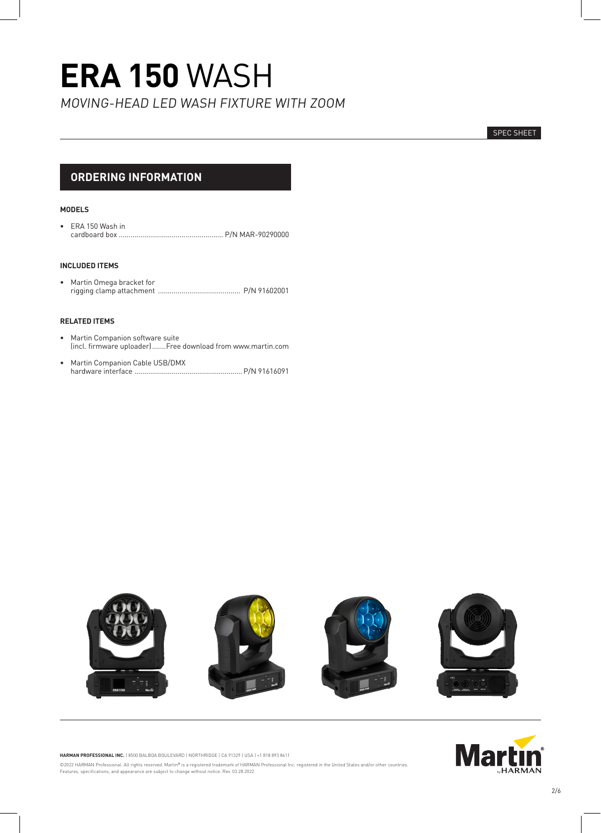# **ERA 150** WASH

MOVING-HEAD LED WASH FIXTURE WITH ZOOM

SPEC SHEET

### **ORDERING INFORMATION**

#### **MODELS**

• ERA 150 Wash in<br>cardboard box ...... cardboard box ..................................................... P/N MAR-90290000

#### **INCLUDED ITEMS**

• Martin Omega bracket for rigging clamp attachment .......................................... P/N 91602001

#### **RELATED ITEMS**

- Martin Companion software suite (incl. firmware uploader).......Free download from www.martin.com
- Martin Companion Cable USB/DMX hardware interface .......................................................P/N 91616091





**HARMAN PROFESSIONAL INC.** | 8500 BALBOA BOULEVARD | NORTHRIDGE | CA 91329 | USA | +1 818 893 8411 ©2022 HARMAN Professional. All rights reserved. Martin® is a registered trademark of HARMAN Professional Inc. registered in the United States and/or other countries.<br>Features, specifications, and appearance are subject to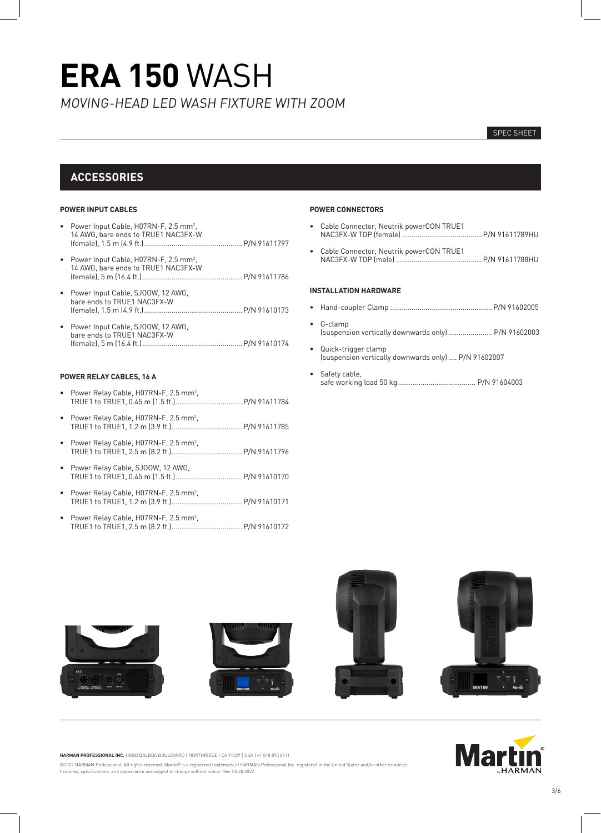#### SPEC SHEET

### **ACCESSORIES**

#### **POWER INPUT CABLES**

- Power Input Cable, H07RN-F, 2.5 mm<sup>2</sup>, 14 AWG, bare ends to TRUE1 NAC3FX-W (female), 1.5 m (4.9 ft.)..................................................P/N 91611797
- Power Input Cable, H07RN-F, 2.5 mm<sup>2</sup>, 14 AWG, bare ends to TRUE1 NAC3FX-W (female), 5 m (16.4 ft.)...................................................P/N 91611786
- Power Input Cable, SJOOW, 12 AWG, bare ends to TRUE1 NAC3FX-W (female), 1.5 m (4.9 ft.)..................................................P/N 91610173
- Power Input Cable, SJOOW, 12 AWG, bare ends to TRUE1 NAC3FX-W (female), 5 m (16.4 ft.)...................................................P/N 91610174

#### **POWER RELAY CABLES, 16 A**

- Power Relay Cable, H07RN-F, 2.5 mm<sup>2</sup>, TRUE1 to TRUE1, 0.45 m (1.5 ft.)..................................P/N 91611784
- Power Relay Cable, H07RN-F, 2.5 mm<sup>2</sup>, TRUE1 to TRUE1, 1.2 m (3.9 ft.)....................................P/N 91611785
- Power Relay Cable, H07RN-F, 2.5 mm<sup>2</sup>, TRUE1 to TRUE1, 2.5 m (8.2 ft.)....................................P/N 91611796
- Power Relay Cable, SJOOW, 12 AWG, TRUE1 to TRUE1, 0.45 m (1.5 ft.)..................................P/N 91610170
- Power Relay Cable, H07RN-F, 2.5 mm<sup>2</sup>, TRUE1 to TRUE1, 1.2 m (3.9 ft.)....................................P/N 91610171
- Power Relay Cable, H07RN-F, 2.5 mm<sup>2</sup>, TRUE1 to TRUE1, 2.5 m (8.2 ft.)....................................P/N 91610172

#### **POWER CONNECTORS**

- Cable Connector, Neutrik powerCON TRUE1 NAC3FX-W TOP (female) .........................................P/N 91611789HU
- Cable Connector, Neutrik powerCON TRUE1 NAC3FX-W TOP (male) ............................................P/N 91611788HU

#### **INSTALLATION HARDWARE**

- ¥ Hand-coupler Clamp ....................................................P/N 91602005
- ¥ G-clamp (suspension vertically downwards only) ...................... P/N 91602003
- Quick-trigger clamp (suspension vertically downwards only) .... P/N 91602007
- Safety cable, safe working load 50 kg........................................ P/N 91604003



**HARMAN PROFESSIONAL INC.** | 8500 BALBOA BOULEVARD | NORTHRIDGE | CA 91329 | USA | +1 818 893 8411

©2022 HARMAN Professional. All rights reserved. Martin® is a registered trademark of HARMAN Professional Inc. registered in the United States and/or other countries. Features, specifications, and appearance are subject to change without notice. Rev. 03.28.2022

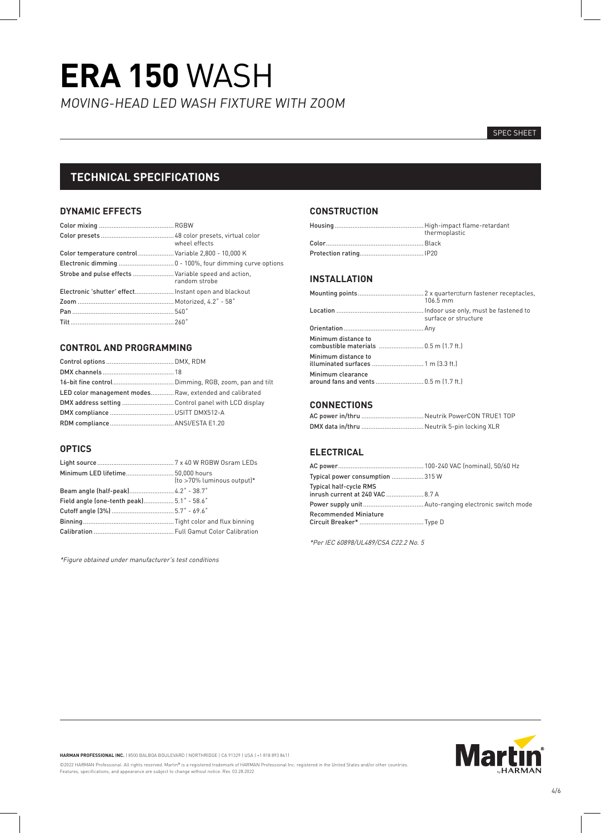#### SPEC SHEET

### **TECHNICAL SPECIFICATIONS**

#### **DYNAMIC EFFECTS**

|                                                       | wheel effects |
|-------------------------------------------------------|---------------|
| Color temperature control Variable 2,800 - 10,000 K   |               |
|                                                       |               |
| Strobe and pulse effects  Variable speed and action,  | random strobe |
| Electronic 'shutter' effect Instant open and blackout |               |
|                                                       |               |
|                                                       |               |
|                                                       |               |

#### **CONTROL AND PROGRAMMING**

| LED color management modes Raw, extended and calibrated |  |
|---------------------------------------------------------|--|
| DMX address setting  Control panel with LCD display     |  |
|                                                         |  |
|                                                         |  |

#### **OPTICS**

| Minimum LED lifetime 50.000 hours         | (to >70% luminous output)* |
|-------------------------------------------|----------------------------|
| Beam angle (half-peak) 4.2° - 38.7°       |                            |
| Field angle (one-tenth peak) 5.1° - 58.6° |                            |
|                                           |                            |
|                                           |                            |
|                                           |                            |

\*Figure obtained under manufacturer's test conditions

#### **CONSTRUCTION**

| thermoplastic |
|---------------|
|               |
|               |

#### **INSTALLATION**

|                                                               | 106.5 mm             |
|---------------------------------------------------------------|----------------------|
|                                                               | surface or structure |
|                                                               |                      |
| Minimum distance to<br>combustible materials  0.5 m (1.7 ft.) |                      |
| Minimum distance to<br>illuminated surfaces  1 m (3.3 ft.)    |                      |
| Minimum clearance<br>around fans and vents  0.5 m (1.7 ft.)   |                      |

#### **CONNECTIONS**

#### **ELECTRICAL**

| Typical power consumption 315 W                                   |  |
|-------------------------------------------------------------------|--|
| <b>Typical half-cycle RMS</b><br>inrush current at 240 VAC  8.7 A |  |
|                                                                   |  |
| <b>Recommended Miniature</b>                                      |  |

\*Per IEC 60898/UL489/CSA C22.2 No. 5



**HARMAN PROFESSIONAL INC.** | 8500 BALBOA BOULEVARD | NORTHRIDGE | CA 91329 | USA | +1 818 893 8411

©2022 HARMAN Professional. All rights reserved. Martin® is a registered trademark of HARMAN Professional Inc. registered in the United States and/or other countries.<br>Features, specifications, and appearance are subject to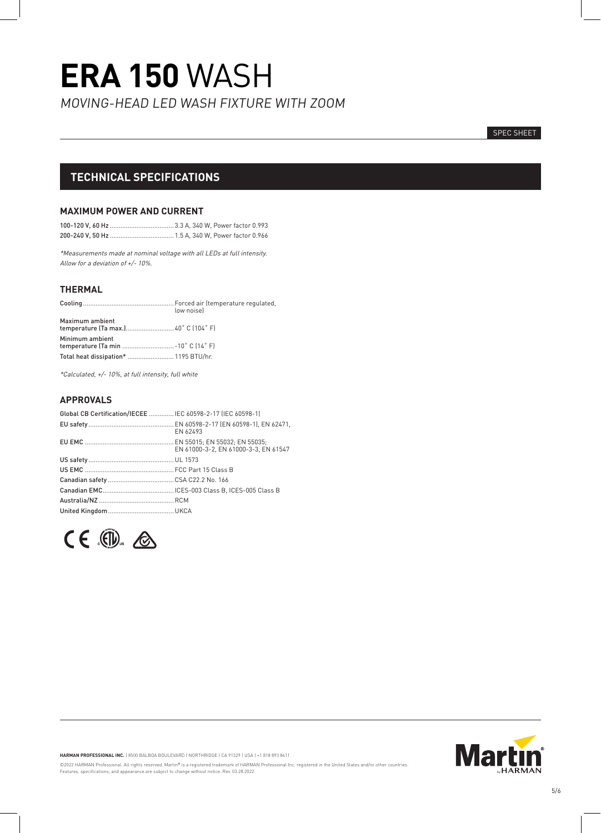SPEC SHEET

### **TECHNICAL SPECIFICATIONS**

#### **MAXIMUM POWER AND CURRENT**

\*Measurements made at nominal voltage with all LEDs at full intensity. Allow for a deviation of +/- 10%.

#### **THERMAL**

|                                                         | low noisel |
|---------------------------------------------------------|------------|
| Maximum ambient                                         |            |
| Minimum ambient<br>temperature (Ta min  - 10° C (14° F) |            |
| Total heat dissipation*  1195 BTU/hr.                   |            |

\*Calculated, +/- 10%, at full intensity, full white

#### **APPROVALS**

| Global CB Certification/IECEE  IEC 60598-2-17 (IEC 60598-1) |                                      |
|-------------------------------------------------------------|--------------------------------------|
|                                                             | EN 62493                             |
|                                                             | EN 61000-3-2, EN 61000-3-3, EN 61547 |
|                                                             |                                      |
|                                                             |                                      |
|                                                             |                                      |
|                                                             |                                      |
|                                                             |                                      |
|                                                             |                                      |





**HARMAN PROFESSIONAL INC.** | 8500 BALBOA BOULEVARD | NORTHRIDGE | CA 91329 | USA | +1 818 893 8411

©2022 HARMAN Professional. All rights reserved. Martin® is a registered trademark of HARMAN Professional Inc. registered in the United States and/or other countries.<br>Features, specifications, and appearance are subject to